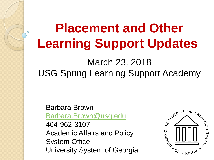# **Placement and Other Learning Support Updates**

### March 23, 2018 USG Spring Learning Support Academy

Barbara Brown [Barbara.Brown@usg.edu](mailto:Barbara.Brown@usg.edu) 404-962-3107 Academic Affairs and Policy System Office University System of Georgia

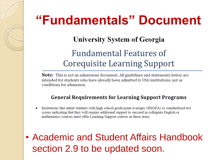### **"Fundamentals" Document**

#### **University System of Georgia**

### **Fundamental Features of** Corequisite Learning Support

Note: This is not an admissions document. All guidelines and statements below are intended for students who have already been admitted to USG institutions, not as conditions for admission.

#### **General Requirements for Learning Support Programs**

- Institutions that admit students with high school grade point averages (HSGPA) or standardized test  $\bullet$ scores indicating that they will require additional support to succeed in collegiate English or mathematics courses must offer Learning Support courses in these areas.
- Academic and Student Affairs Handbook section 2.9 to be updated soon.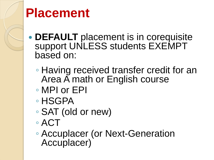

# **Placement**

- **DEFAULT** placement is in corequisite support UNLESS students EXEMPT based on:
	- Having received transfer credit for an Area A math or English course
	- MPI or EPI
	- HSGPA
	- SAT (old or new)
	- ACT
	- Accuplacer (or Next-Generation Accuplacer)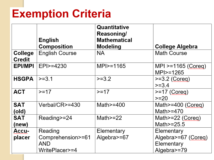### **Exemption Criteria**

|                          | <b>English</b><br>Composition                         | Quantitative<br><b>Reasoning/</b><br><b>Mathematical</b><br>Modeling | <b>College Algebra</b>                                         |
|--------------------------|-------------------------------------------------------|----------------------------------------------------------------------|----------------------------------------------------------------|
| College<br><b>Credit</b> | <b>English Course</b>                                 | NA.                                                                  | <b>Math Course</b>                                             |
| EPI/MPI                  | EPI > 4230                                            | MPI > = 1165                                                         | $MPI >=1165 (Coreq)$<br>MPI>=1265                              |
| <b>HSGPA</b>             | $>=3.1$                                               | $>=3.2$                                                              | $>=3.2$ (Coreg)<br>$>=3.4$                                     |
| <b>ACT</b>               | $>=17$                                                | $>=17$                                                               | $>=17$ (Coreg)<br>$>=20$                                       |
| <b>SAT</b><br>(old)      | Verbal/CR>=430                                        | Math $> = 400$                                                       | Math $>=$ 400 (Coreg)<br>Math $\ge$ =470                       |
| <b>SAT</b><br>(new)      | Reading>=24                                           | Math $\ge$ =22                                                       | Math>=22 (Coreg)<br>Math $\ge$ =25.5                           |
| Accu-<br>placer          | Reading<br>Comprehension>=61<br>AND<br>WritePlacer>=4 | Elementary<br>Algebra>=67                                            | Elementary<br>Algebra>=67 (Coreg)<br>Elementary<br>Algebra>=79 |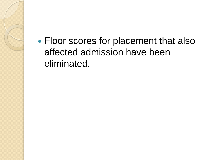Floor scores for placement that also affected admission have been eliminated.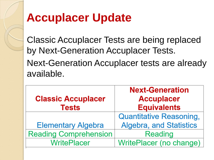### **Accuplacer Update**

Classic Accuplacer Tests are being replaced by Next-Generation Accuplacer Tests. Next-Generation Accuplacer tests are already available.

| <b>Classic Accuplacer</b><br><b>Tests</b> | <b>Next-Generation</b><br><b>Accuplacer</b><br><b>Equivalents</b> |
|-------------------------------------------|-------------------------------------------------------------------|
|                                           | <b>Quantitative Reasoning,</b>                                    |
| <b>Elementary Algebra</b>                 | <b>Algebra, and Statistics</b>                                    |
| <b>Reading Comprehension</b>              | <b>Reading</b>                                                    |
| <b>WritePlacer</b>                        | WritePlacer (no change)                                           |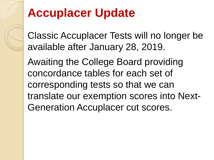### **Accuplacer Update**

Classic Accuplacer Tests will no longer be available after January 28, 2019.

Awaiting the College Board providing concordance tables for each set of corresponding tests so that we can translate our exemption scores into Next-Generation Accuplacer cut scores.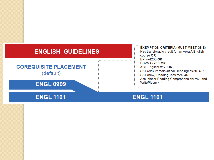#### **ENGLISH GUIDELINES**

#### **COREQUISITE PLACEMENT** (default)

**ENGL 0999** 

#### **ENGL 1101**

**EXEMPTION CRITERIA (MUST MEET ONE)** Has transferable credit for an Area A English course OR  $EPI > = 4230$  OR  $HSPGA \geq 3.1$  OR ACT English>=17 OR SAT (old)-Verbal/Critical Reading>=430 OR SAT (new)-Reading Test>=24 OR Accuplacer Reading Comprehension>=61 and WritePlacer>=4

#### **ENGL 1101**

............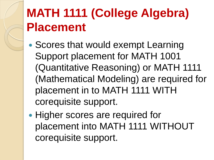# **MATH 1111 (College Algebra) Placement**

- Scores that would exempt Learning Support placement for MATH 1001 (Quantitative Reasoning) or MATH 1111 (Mathematical Modeling) are required for placement in to MATH 1111 WITH corequisite support.
- Higher scores are required for placement into MATH 1111 WITHOUT corequisite support.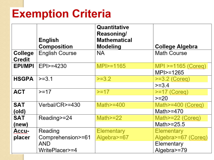### **Exemption Criteria**

|                                 | <b>English</b>        | Quantitative<br><b>Reasoning/</b><br><b>Mathematical</b> |                        |
|---------------------------------|-----------------------|----------------------------------------------------------|------------------------|
|                                 | <b>Composition</b>    | <b>Modeling</b>                                          | <b>College Algebra</b> |
| <b>College</b><br><b>Credit</b> | <b>English Course</b> | NA.                                                      | <b>Math Course</b>     |
| EPI/MPI                         | EPI>=4230             | $MPI > = 1165$                                           | $MPI > = 1165 (Coreq)$ |
|                                 |                       |                                                          | $MPI > = 1265$         |
| <b>HSGPA</b>                    | $>=3.1$               | $>=3.2$                                                  | $>=3.2$ (Coreg)        |
|                                 |                       |                                                          | $>=3.4$                |
| <b>ACT</b>                      | $>=17$                | $>=17$                                                   | $>=17$ (Coreg)         |
|                                 |                       |                                                          | $>=20$                 |
| <b>SAT</b>                      | Verbal/CR>=430        | Math $\ge$ =400                                          | Math>=400 (Coreg)      |
| (old)                           |                       |                                                          | Math $\ge$ =470        |
| <b>SAT</b>                      | Reading>=24           | Math $>=$ 22                                             | Math>=22 (Coreg)       |
| (new)                           |                       |                                                          | Math $\ge$ =25.5       |
| Accu-                           | Reading               | <b>Elementary</b>                                        | <b>Elementary</b>      |
| placer                          | Comprehension>=61     | Algebra>=67                                              | Algebra>=67 (Coreg)    |
|                                 | AND                   |                                                          | Elementary             |
|                                 | WritePlacer>=4        |                                                          | Algebra>=79            |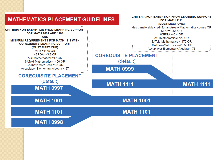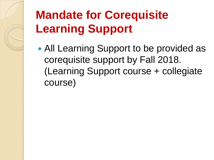# **Mandate for Corequisite Learning Support**

 All Learning Support to be provided as corequisite support by Fall 2018. (Learning Support course + collegiate course)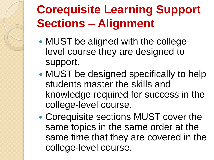## **Corequisite Learning Support Sections – Alignment**

- MUST be aligned with the collegelevel course they are designed to support.
- MUST be designed specifically to help students master the skills and knowledge required for success in the college-level course.
- Corequisite sections MUST cover the same topics in the same order at the same time that they are covered in the college-level course.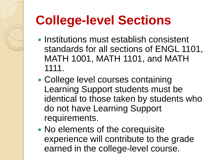# **College-level Sections**

- Institutions must establish consistent standards for all sections of ENGL 1101, MATH 1001, MATH 1101, and MATH 1111.
- College level courses containing Learning Support students must be identical to those taken by students who do not have Learning Support requirements.
- No elements of the corequisite experience will contribute to the grade earned in the college-level course.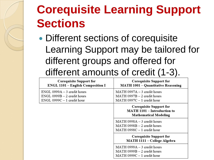## **Corequisite Learning Support Sections**

• Different sections of corequisite Learning Support may be tailored for different groups and offered for different amounts of credit (1-3).

| Corequisite Support for<br><b>ENGL 1101 - English Composition I</b>                                | <b>Corequisite Support for</b><br><b>MATH 1001 - Quantitative Reasoning</b>                    |
|----------------------------------------------------------------------------------------------------|------------------------------------------------------------------------------------------------|
| $ENGL$ 0999A $-$ 3 credit hours<br>$ENGL$ 0999B $-2$ credit hours<br>$ENGL$ 0999 $C-1$ credit hour | $MATH 0997A - 3 credit hours$<br>$MATH 0997B - 2$ credit hours<br>$MATH 0997C - 1$ credit hour |
|                                                                                                    | Corequisite Support for<br><b>MATH 1101 - Introduction to</b><br><b>Mathematical Modeling</b>  |
|                                                                                                    | MATH $0998A - 3$ credit hours<br>$MATH 0998B - 2$ credit hours<br>$MATH 0998C - 1$ credit hour |
|                                                                                                    | <b>Corequisite Support for</b><br>MATH 1111 - College Algebra                                  |
|                                                                                                    | MATH 0999A - 3 credit hours<br>$MATH 0999B - 2$ credit hours<br>$MATH 0999C - 1$ credit hour   |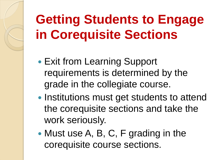# **Getting Students to Engage in Corequisite Sections**

- Exit from Learning Support requirements is determined by the grade in the collegiate course.
- Institutions must get students to attend the corequisite sections and take the work seriously.
- Must use A, B, C, F grading in the corequisite course sections.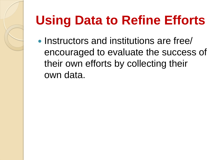# **Using Data to Refine Efforts**

• Instructors and institutions are free/ encouraged to evaluate the success of their own efforts by collecting their own data.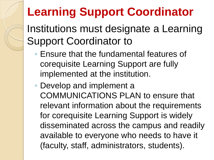### **Learning Support Coordinator**

Institutions must designate a Learning Support Coordinator to

- Ensure that the fundamental features of corequisite Learning Support are fully implemented at the institution.
- Develop and implement a COMMUNICATIONS PLAN to ensure that relevant information about the requirements for corequisite Learning Support is widely disseminated across the campus and readily available to everyone who needs to have it (faculty, staff, administrators, students).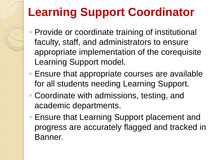## **Learning Support Coordinator**

- Provide or coordinate training of institutional faculty, staff, and administrators to ensure appropriate implementation of the corequisite Learning Support model.
- Ensure that appropriate courses are available for all students needing Learning Support.
- Coordinate with admissions, testing, and academic departments.
- Ensure that Learning Support placement and progress are accurately flagged and tracked in Banner.